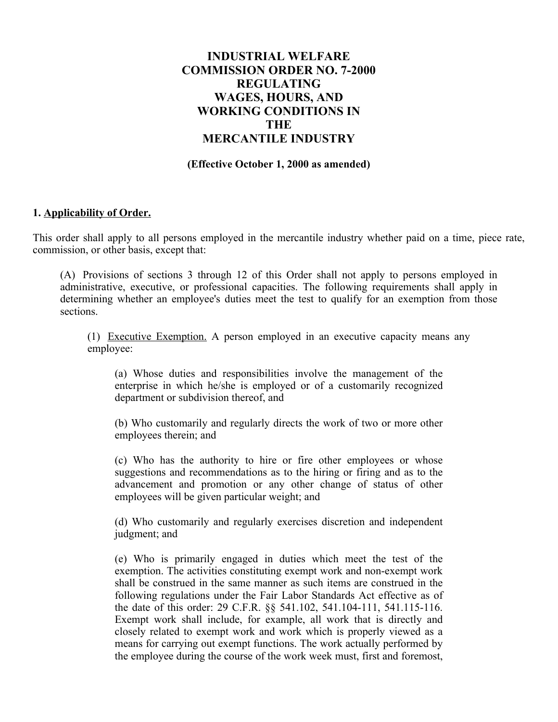# **INDUSTRIAL WELFARE COMMISSION ORDER NO. 7-2000 REGULATING WAGES, HOURS, AND WORKING CONDITIONS IN THE MERCANTILE INDUSTRY**

#### **(Effective October 1, 2000 as amended)**

#### **1. Applicability of Order.**

This order shall apply to all persons employed in the mercantile industry whether paid on a time, piece rate, commission, or other basis, except that:

(A) Provisions of sections 3 through 12 of this Order shall not apply to persons employed in administrative, executive, or professional capacities. The following requirements shall apply in determining whether an employee's duties meet the test to qualify for an exemption from those sections.

(1) Executive Exemption. A person employed in an executive capacity means any employee:

(a) Whose duties and responsibilities involve the management of the enterprise in which he/she is employed or of a customarily recognized department or subdivision thereof, and

(b) Who customarily and regularly directs the work of two or more other employees therein; and

(c) Who has the authority to hire or fire other employees or whose suggestions and recommendations as to the hiring or firing and as to the advancement and promotion or any other change of status of other employees will be given particular weight; and

(d) Who customarily and regularly exercises discretion and independent judgment; and

(e) Who is primarily engaged in duties which meet the test of the exemption. The activities constituting exempt work and non-exempt work shall be construed in the same manner as such items are construed in the following regulations under the Fair Labor Standards Act effective as of the date of this order: 29 C.F.R. §§ 541.102, 541.104-111, 541.115-116. Exempt work shall include, for example, all work that is directly and closely related to exempt work and work which is properly viewed as a means for carrying out exempt functions. The work actually performed by the employee during the course of the work week must, first and foremost,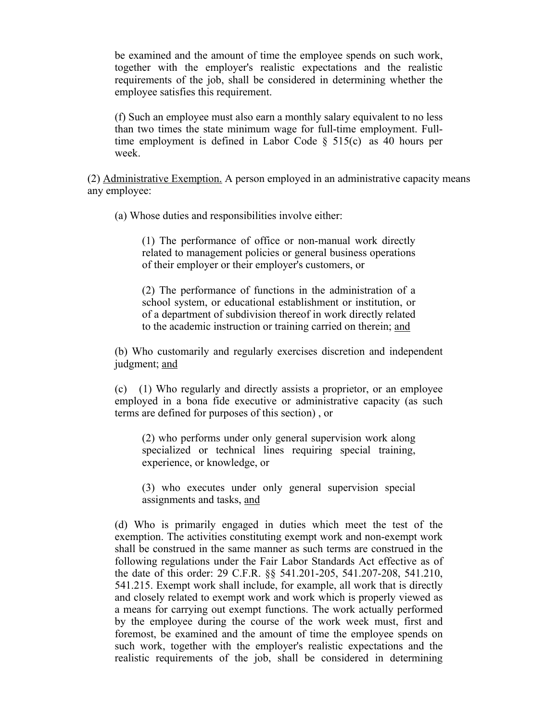be examined and the amount of time the employee spends on such work, together with the employer's realistic expectations and the realistic requirements of the job, shall be considered in determining whether the employee satisfies this requirement.

(f) Such an employee must also earn a monthly salary equivalent to no less than two times the state minimum wage for full-time employment. Fulltime employment is defined in Labor Code § 515(c) as 40 hours per week.

(2) Administrative Exemption. A person employed in an administrative capacity means any employee:

(a) Whose duties and responsibilities involve either:

(1) The performance of office or non-manual work directly related to management policies or general business operations of their employer or their employer's customers, or

(2) The performance of functions in the administration of a school system, or educational establishment or institution, or of a department of subdivision thereof in work directly related to the academic instruction or training carried on therein; and

(b) Who customarily and regularly exercises discretion and independent judgment; and

 (c) (1) Who regularly and directly assists a proprietor, or an employee employed in a bona fide executive or administrative capacity (as such terms are defined for purposes of this section) , or

(2) who performs under only general supervision work along specialized or technical lines requiring special training, experience, or knowledge, or

(3) who executes under only general supervision special assignments and tasks, and

(d) Who is primarily engaged in duties which meet the test of the exemption. The activities constituting exempt work and non-exempt work shall be construed in the same manner as such terms are construed in the following regulations under the Fair Labor Standards Act effective as of the date of this order: 29 C.F.R. §§ 541.201-205, 541.207-208, 541.210, 541.215. Exempt work shall include, for example, all work that is directly and closely related to exempt work and work which is properly viewed as a means for carrying out exempt functions. The work actually performed by the employee during the course of the work week must, first and foremost, be examined and the amount of time the employee spends on such work, together with the employer's realistic expectations and the realistic requirements of the job, shall be considered in determining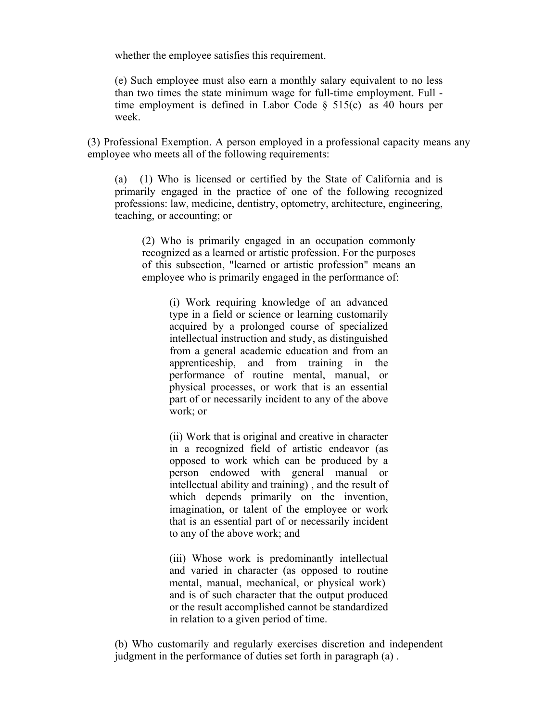whether the employee satisfies this requirement.

(e) Such employee must also earn a monthly salary equivalent to no less than two times the state minimum wage for full-time employment. Full time employment is defined in Labor Code § 515(c) as 40 hours per week.

(3) Professional Exemption. A person employed in a professional capacity means any employee who meets all of the following requirements:

 $(a)$  $(1)$  Who is licensed or certified by the State of California and is primarily engaged in the practice of one of the following recognized professions: law, medicine, dentistry, optometry, architecture, engineering, teaching, or accounting; or

(2) Who is primarily engaged in an occupation commonly recognized as a learned or artistic profession. For the purposes of this subsection, "learned or artistic profession" means an employee who is primarily engaged in the performance of:

(i) Work requiring knowledge of an advanced type in a field or science or learning customarily acquired by a prolonged course of specialized intellectual instruction and study, as distinguished from a general academic education and from an apprenticeship, and from training in the performance of routine mental, manual, or physical processes, or work that is an essential part of or necessarily incident to any of the above work; or

(ii) Work that is original and creative in character in a recognized field of artistic endeavor (as opposed to work which can be produced by a person endowed with general manual or intellectual ability and training) , and the result of which depends primarily on the invention, imagination, or talent of the employee or work that is an essential part of or necessarily incident to any of the above work; and

(iii) Whose work is predominantly intellectual and varied in character (as opposed to routine mental, manual, mechanical, or physical work) and is of such character that the output produced or the result accomplished cannot be standardized in relation to a given period of time.

(b) Who customarily and regularly exercises discretion and independent judgment in the performance of duties set forth in paragraph (a) .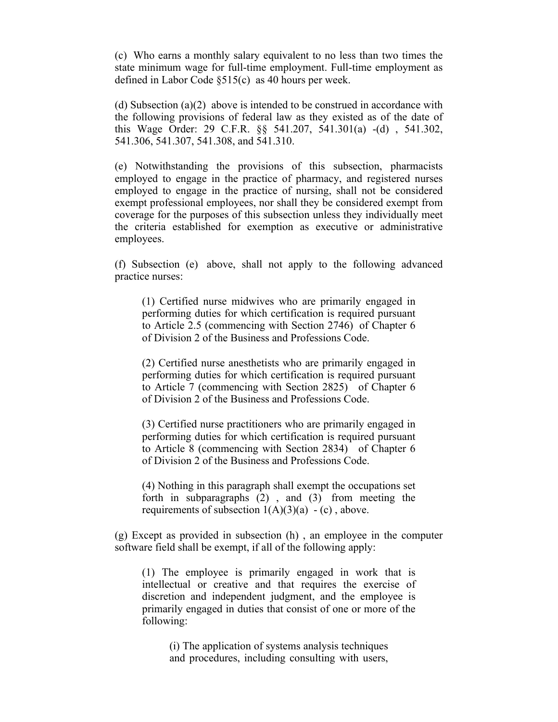(c) Who earns a monthly salary equivalent to no less than two times the state minimum wage for full-time employment. Full-time employment as defined in Labor Code §515(c) as 40 hours per week.

(d) Subsection (a)(2) above is intended to be construed in accordance with the following provisions of federal law as they existed as of the date of this Wage Order: 29 C.F.R. §§ 541.207, 541.301(a) -(d) , 541.302, 541.306, 541.307, 541.308, and 541.310.

(e) Notwithstanding the provisions of this subsection, pharmacists employed to engage in the practice of pharmacy, and registered nurses employed to engage in the practice of nursing, shall not be considered exempt professional employees, nor shall they be considered exempt from coverage for the purposes of this subsection unless they individually meet the criteria established for exemption as executive or administrative employees.

(f) Subsection (e) above, shall not apply to the following advanced practice nurses:

(1) Certified nurse midwives who are primarily engaged in performing duties for which certification is required pursuant to Article 2.5 (commencing with Section 2746) of Chapter 6 of Division 2 of the Business and Professions Code.

(2) Certified nurse anesthetists who are primarily engaged in performing duties for which certification is required pursuant to Article 7 (commencing with Section 2825) of Chapter 6 of Division 2 of the Business and Professions Code.

(3) Certified nurse practitioners who are primarily engaged in performing duties for which certification is required pursuant to Article 8 (commencing with Section 2834) of Chapter 6 of Division 2 of the Business and Professions Code.

(4) Nothing in this paragraph shall exempt the occupations set forth in subparagraphs (2) , and (3) from meeting the requirements of subsection  $1(A)(3)(a) - (c)$ , above.

(g) Except as provided in subsection (h) , an employee in the computer software field shall be exempt, if all of the following apply:

(1) The employee is primarily engaged in work that is intellectual or creative and that requires the exercise of discretion and independent judgment, and the employee is primarily engaged in duties that consist of one or more of the following:

(i) The application of systems analysis techniques and procedures, including consulting with users,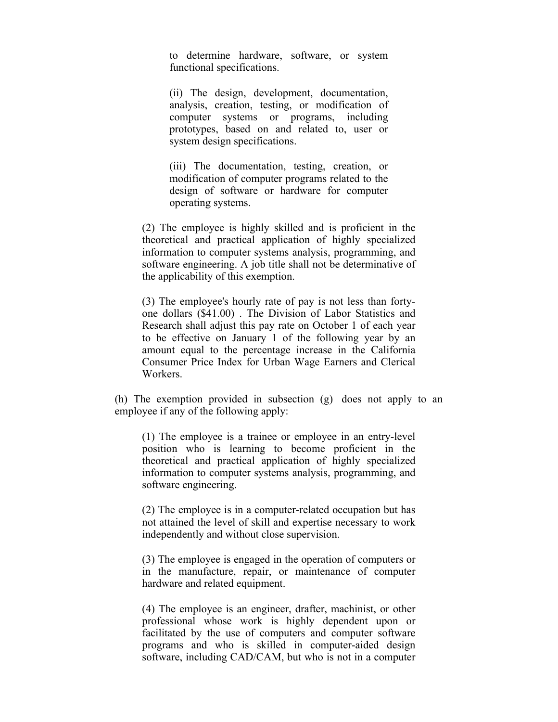to determine hardware, software, or system functional specifications.

(ii) The design, development, documentation, analysis, creation, testing, or modification of computer systems or programs, including prototypes, based on and related to, user or system design specifications.

(iii) The documentation, testing, creation, or modification of computer programs related to the design of software or hardware for computer operating systems.

(2) The employee is highly skilled and is proficient in the theoretical and practical application of highly specialized information to computer systems analysis, programming, and software engineering. A job title shall not be determinative of the applicability of this exemption.

(3) The employee's hourly rate of pay is not less than fortyone dollars (\$41.00) . The Division of Labor Statistics and Research shall adjust this pay rate on October 1 of each year to be effective on January 1 of the following year by an amount equal to the percentage increase in the California Consumer Price Index for Urban Wage Earners and Clerical Workers.

(h) The exemption provided in subsection (g) does not apply to an employee if any of the following apply:

(1) The employee is a trainee or employee in an entry-level position who is learning to become proficient in the theoretical and practical application of highly specialized information to computer systems analysis, programming, and software engineering.

(2) The employee is in a computer-related occupation but has not attained the level of skill and expertise necessary to work independently and without close supervision.

(3) The employee is engaged in the operation of computers or in the manufacture, repair, or maintenance of computer hardware and related equipment.

(4) The employee is an engineer, drafter, machinist, or other professional whose work is highly dependent upon or facilitated by the use of computers and computer software programs and who is skilled in computer-aided design software, including CAD/CAM, but who is not in a computer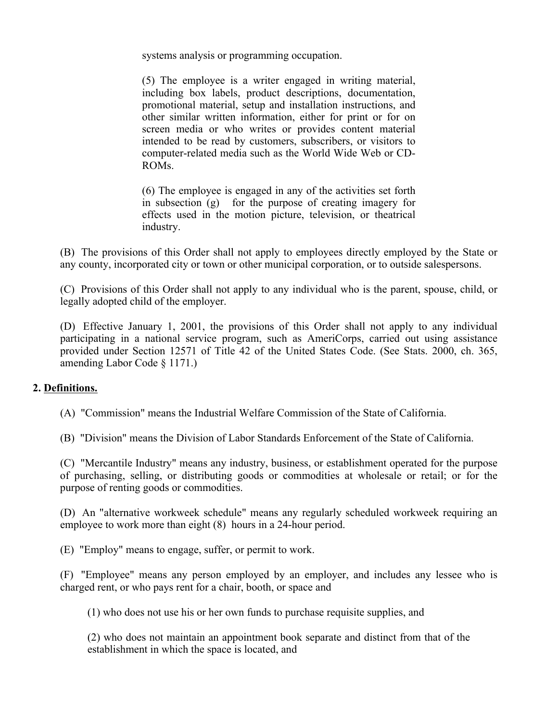systems analysis or programming occupation.

(5) The employee is a writer engaged in writing material, including box labels, product descriptions, documentation, promotional material, setup and installation instructions, and other similar written information, either for print or for on screen media or who writes or provides content material intended to be read by customers, subscribers, or visitors to computer-related media such as the World Wide Web or CD-ROMs.

(6) The employee is engaged in any of the activities set forth in subsection (g) for the purpose of creating imagery for effects used in the motion picture, television, or theatrical industry.

(B) The provisions of this Order shall not apply to employees directly employed by the State or any county, incorporated city or town or other municipal corporation, or to outside salespersons.

(C) Provisions of this Order shall not apply to any individual who is the parent, spouse, child, or legally adopted child of the employer.

(D) Effective January 1, 2001, the provisions of this Order shall not apply to any individual participating in a national service program, such as AmeriCorps, carried out using assistance provided under Section 12571 of Title 42 of the United States Code. (See Stats. 2000, ch. 365, amending Labor Code § 1171.)

# **2. Definitions.**

(A) "Commission" means the Industrial Welfare Commission of the State of California.

(B) "Division" means the Division of Labor Standards Enforcement of the State of California.

(C) "Mercantile Industry" means any industry, business, or establishment operated for the purpose of purchasing, selling, or distributing goods or commodities at wholesale or retail; or for the purpose of renting goods or commodities.

(D) An "alternative workweek schedule" means any regularly scheduled workweek requiring an employee to work more than eight (8) hours in a 24-hour period.

(E) "Employ" means to engage, suffer, or permit to work.

(F) "Employee" means any person employed by an employer, and includes any lessee who is charged rent, or who pays rent for a chair, booth, or space and

(1) who does not use his or her own funds to purchase requisite supplies, and

(2) who does not maintain an appointment book separate and distinct from that of the establishment in which the space is located, and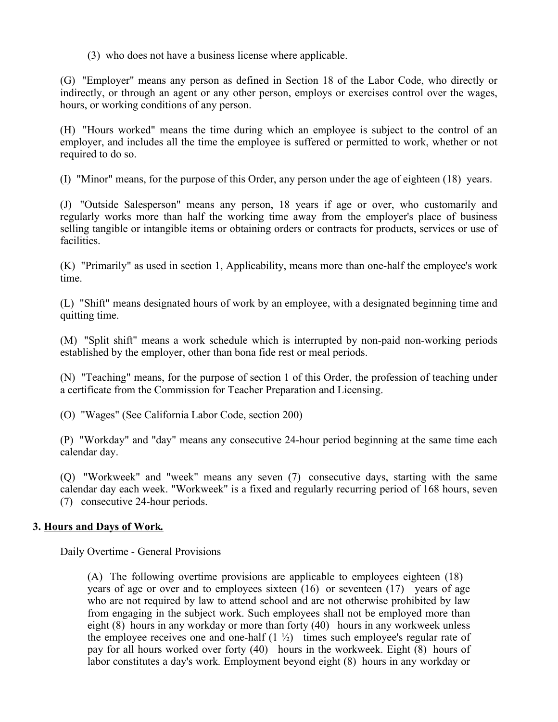(3) who does not have a business license where applicable.

(G) "Employer" means any person as defined in Section 18 of the Labor Code, who directly or indirectly, or through an agent or any other person, employs or exercises control over the wages, hours, or working conditions of any person.

(H) "Hours worked" means the time during which an employee is subject to the control of an employer, and includes all the time the employee is suffered or permitted to work, whether or not required to do so.

(I) "Minor" means, for the purpose of this Order, any person under the age of eighteen (18) years.

(J) "Outside Salesperson" means any person, 18 years if age or over, who customarily and regularly works more than half the working time away from the employer's place of business selling tangible or intangible items or obtaining orders or contracts for products, services or use of facilities.

(K) "Primarily" as used in section 1, Applicability, means more than one-half the employee's work time.

(L) "Shift" means designated hours of work by an employee, with a designated beginning time and quitting time.

(M) "Split shift" means a work schedule which is interrupted by non-paid non-working periods established by the employer, other than bona fide rest or meal periods.

(N) "Teaching" means, for the purpose of section 1 of this Order, the profession of teaching under a certificate from the Commission for Teacher Preparation and Licensing.

(O) "Wages" (See California Labor Code, section 200)

 (P) "Workday" and "day" means any consecutive 24-hour period beginning at the same time each calendar day.

(Q) "Workweek" and "week" means any seven (7) consecutive days, starting with the same calendar day each week. "Workweek" is a fixed and regularly recurring period of 168 hours, seven (7) consecutive 24-hour periods.

# **3. Hours and Days of Work***.*

Daily Overtime - General Provisions

(A) The following overtime provisions are applicable to employees eighteen (18) years of age or over and to employees sixteen (16) or seventeen (17) years of age who are not required by law to attend school and are not otherwise prohibited by law from engaging in the subject work. Such employees shall not be employed more than eight (8) hours in any workday or more than forty (40) hours in any workweek unless the employee receives one and one-half  $(1 \frac{1}{2})$  times such employee's regular rate of pay for all hours worked over forty (40) hours in the workweek. Eight (8) hours of labor constitutes a day's work*.* Employment beyond eight (8) hours in any workday or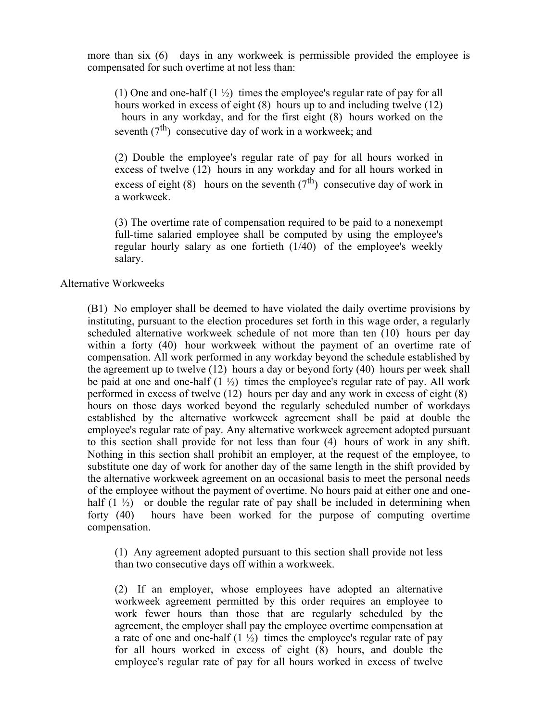more than six (6) days in any workweek is permissible provided the employee is compensated for such overtime at not less than:

(1) One and one-half  $(1 \frac{1}{2})$  times the employee's regular rate of pay for all hours worked in excess of eight (8) hours up to and including twelve (12) hours in any workday, and for the first eight (8) hours worked on the seventh  $(7<sup>th</sup>)$  consecutive day of work in a workweek; and

(2) Double the employee's regular rate of pay for all hours worked in excess of twelve (12) hours in any workday and for all hours worked in excess of eight (8) hours on the seventh  $(7<sup>th</sup>)$  consecutive day of work in a workweek.

(3) The overtime rate of compensation required to be paid to a nonexempt full-time salaried employee shall be computed by using the employee's regular hourly salary as one fortieth (1/40) of the employee's weekly salary.

Alternative Workweeks

(B1) No employer shall be deemed to have violated the daily overtime provisions by instituting, pursuant to the election procedures set forth in this wage order, a regularly scheduled alternative workweek schedule of not more than ten (10) hours per day within a forty (40) hour workweek without the payment of an overtime rate of compensation. All work performed in any workday beyond the schedule established by the agreement up to twelve (12) hours a day or beyond forty (40) hours per week shall be paid at one and one-half  $(1 \frac{1}{2})$  times the employee's regular rate of pay. All work performed in excess of twelve (12) hours per day and any work in excess of eight (8) hours on those days worked beyond the regularly scheduled number of workdays established by the alternative workweek agreement shall be paid at double the employee's regular rate of pay. Any alternative workweek agreement adopted pursuant to this section shall provide for not less than four (4) hours of work in any shift. Nothing in this section shall prohibit an employer, at the request of the employee, to substitute one day of work for another day of the same length in the shift provided by the alternative workweek agreement on an occasional basis to meet the personal needs of the employee without the payment of overtime. No hours paid at either one and onehalf  $(1 \frac{1}{2})$  or double the regular rate of pay shall be included in determining when forty (40) hours have been worked for the purpose of computing overtime compensation.

(1) Any agreement adopted pursuant to this section shall provide not less than two consecutive days off within a workweek.

(2) If an employer, whose employees have adopted an alternative workweek agreement permitted by this order requires an employee to work fewer hours than those that are regularly scheduled by the agreement, the employer shall pay the employee overtime compensation at a rate of one and one-half  $(1 \frac{1}{2})$  times the employee's regular rate of pay for all hours worked in excess of eight (8) hours, and double the employee's regular rate of pay for all hours worked in excess of twelve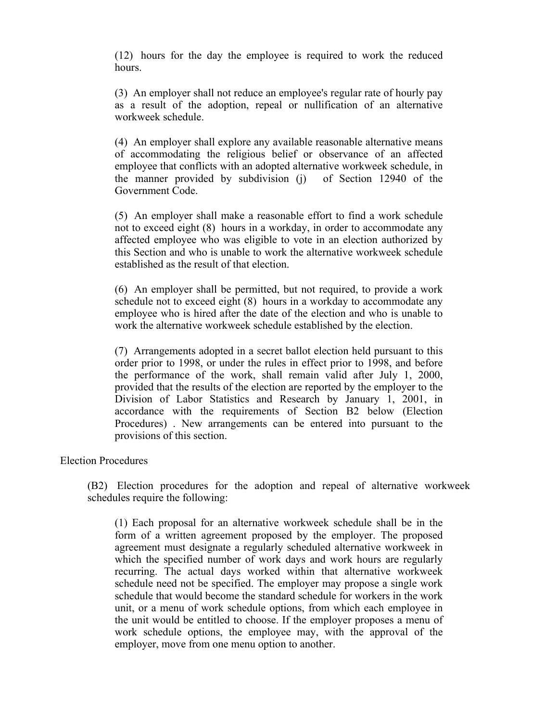(12) hours for the day the employee is required to work the reduced hours.

(3) An employer shall not reduce an employee's regular rate of hourly pay as a result of the adoption, repeal or nullification of an alternative workweek schedule.

(4) An employer shall explore any available reasonable alternative means of accommodating the religious belief or observance of an affected employee that conflicts with an adopted alternative workweek schedule, in the manner provided by subdivision (j) of Section 12940 of the Government Code.

(5) An employer shall make a reasonable effort to find a work schedule not to exceed eight (8) hours in a workday, in order to accommodate any affected employee who was eligible to vote in an election authorized by this Section and who is unable to work the alternative workweek schedule established as the result of that election.

(6) An employer shall be permitted, but not required, to provide a work schedule not to exceed eight (8) hours in a workday to accommodate any employee who is hired after the date of the election and who is unable to work the alternative workweek schedule established by the election.

(7) Arrangements adopted in a secret ballot election held pursuant to this order prior to 1998, or under the rules in effect prior to 1998, and before the performance of the work, shall remain valid after July 1, 2000, provided that the results of the election are reported by the employer to the Division of Labor Statistics and Research by January 1, 2001, in accordance with the requirements of Section B2 below (Election Procedures) . New arrangements can be entered into pursuant to the provisions of this section.

Election Procedures

(B2) Election procedures for the adoption and repeal of alternative workweek schedules require the following:

(1) Each proposal for an alternative workweek schedule shall be in the form of a written agreement proposed by the employer. The proposed agreement must designate a regularly scheduled alternative workweek in which the specified number of work days and work hours are regularly recurring. The actual days worked within that alternative workweek schedule need not be specified. The employer may propose a single work schedule that would become the standard schedule for workers in the work unit, or a menu of work schedule options, from which each employee in the unit would be entitled to choose. If the employer proposes a menu of work schedule options, the employee may, with the approval of the employer, move from one menu option to another.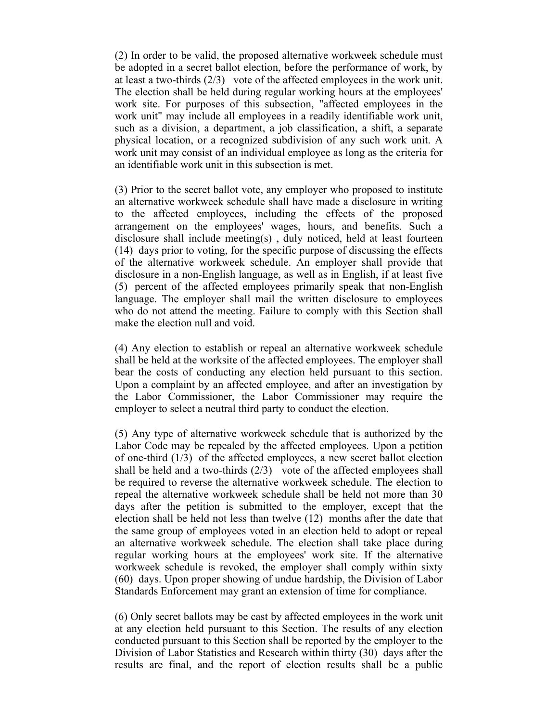(2) In order to be valid, the proposed alternative workweek schedule must be adopted in a secret ballot election, before the performance of work, by at least a two-thirds (2/3) vote of the affected employees in the work unit. The election shall be held during regular working hours at the employees' work site. For purposes of this subsection, "affected employees in the work unit" may include all employees in a readily identifiable work unit, such as a division, a department, a job classification, a shift, a separate physical location, or a recognized subdivision of any such work unit. A work unit may consist of an individual employee as long as the criteria for an identifiable work unit in this subsection is met.

(3) Prior to the secret ballot vote, any employer who proposed to institute an alternative workweek schedule shall have made a disclosure in writing to the affected employees, including the effects of the proposed arrangement on the employees' wages, hours, and benefits. Such a disclosure shall include meeting(s) , duly noticed, held at least fourteen (14) days prior to voting, for the specific purpose of discussing the effects of the alternative workweek schedule. An employer shall provide that disclosure in a non-English language, as well as in English, if at least five (5) percent of the affected employees primarily speak that non-English language. The employer shall mail the written disclosure to employees who do not attend the meeting. Failure to comply with this Section shall make the election null and void.

(4) Any election to establish or repeal an alternative workweek schedule shall be held at the worksite of the affected employees. The employer shall bear the costs of conducting any election held pursuant to this section. Upon a complaint by an affected employee, and after an investigation by the Labor Commissioner, the Labor Commissioner may require the employer to select a neutral third party to conduct the election.

(5) Any type of alternative workweek schedule that is authorized by the Labor Code may be repealed by the affected employees. Upon a petition of one-third (1/3) of the affected employees, a new secret ballot election shall be held and a two-thirds  $(2/3)$  vote of the affected employees shall be required to reverse the alternative workweek schedule. The election to repeal the alternative workweek schedule shall be held not more than 30 days after the petition is submitted to the employer, except that the election shall be held not less than twelve (12) months after the date that the same group of employees voted in an election held to adopt or repeal an alternative workweek schedule. The election shall take place during regular working hours at the employees' work site. If the alternative workweek schedule is revoked, the employer shall comply within sixty (60) days. Upon proper showing of undue hardship, the Division of Labor Standards Enforcement may grant an extension of time for compliance.

(6) Only secret ballots may be cast by affected employees in the work unit at any election held pursuant to this Section. The results of any election conducted pursuant to this Section shall be reported by the employer to the Division of Labor Statistics and Research within thirty (30) days after the results are final, and the report of election results shall be a public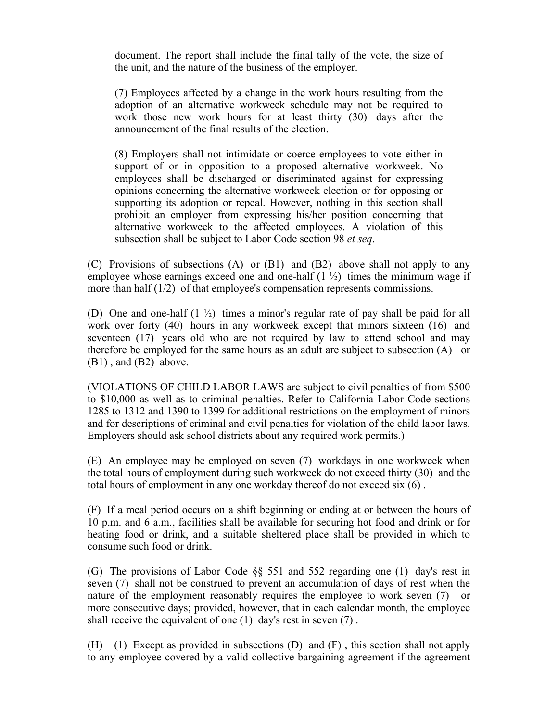document. The report shall include the final tally of the vote, the size of the unit, and the nature of the business of the employer.

(7) Employees affected by a change in the work hours resulting from the adoption of an alternative workweek schedule may not be required to work those new work hours for at least thirty (30) days after the announcement of the final results of the election.

(8) Employers shall not intimidate or coerce employees to vote either in support of or in opposition to a proposed alternative workweek. No employees shall be discharged or discriminated against for expressing opinions concerning the alternative workweek election or for opposing or supporting its adoption or repeal. However, nothing in this section shall prohibit an employer from expressing his/her position concerning that alternative workweek to the affected employees. A violation of this subsection shall be subject to Labor Code section 98 *et seq*.

(C) Provisions of subsections (A) or (B1) and (B2) above shall not apply to any employee whose earnings exceed one and one-half  $(1 \frac{1}{2})$  times the minimum wage if more than half  $(1/2)$  of that employee's compensation represents commissions.

(D) One and one-half  $(1 \frac{1}{2})$  times a minor's regular rate of pay shall be paid for all work over forty (40) hours in any workweek except that minors sixteen (16) and seventeen (17) years old who are not required by law to attend school and may therefore be employed for the same hours as an adult are subject to subsection (A) or (B1) , and (B2) above.

(VIOLATIONS OF CHILD LABOR LAWS are subject to civil penalties of from \$500 to \$10,000 as well as to criminal penalties. Refer to California Labor Code sections 1285 to 1312 and 1390 to 1399 for additional restrictions on the employment of minors and for descriptions of criminal and civil penalties for violation of the child labor laws. Employers should ask school districts about any required work permits.)

(E) An employee may be employed on seven (7) workdays in one workweek when the total hours of employment during such workweek do not exceed thirty (30) and the total hours of employment in any one workday thereof do not exceed six (6) .

(F) If a meal period occurs on a shift beginning or ending at or between the hours of 10 p.m. and 6 a.m., facilities shall be available for securing hot food and drink or for heating food or drink, and a suitable sheltered place shall be provided in which to consume such food or drink.

(G) The provisions of Labor Code §§ 551 and 552 regarding one (1) day's rest in seven (7) shall not be construed to prevent an accumulation of days of rest when the nature of the employment reasonably requires the employee to work seven (7) or more consecutive days; provided, however, that in each calendar month, the employee shall receive the equivalent of one (1) day's rest in seven (7) .

(H) (1) Except as provided in subsections (D) and (F) , this section shall not apply to any employee covered by a valid collective bargaining agreement if the agreement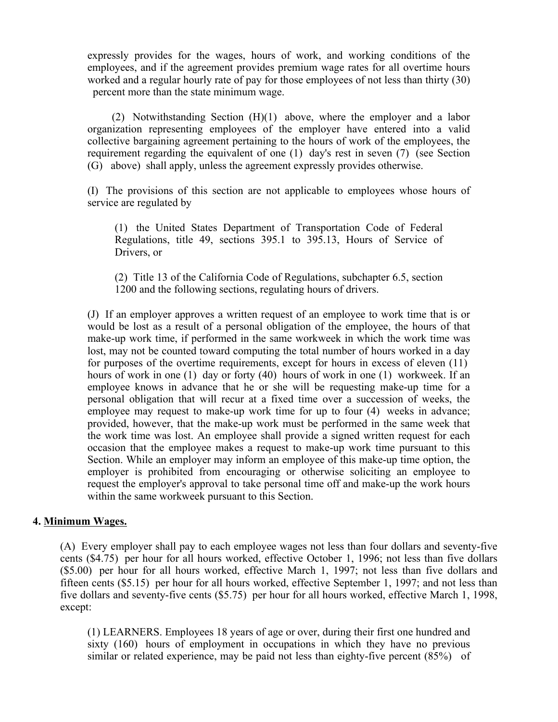expressly provides for the wages, hours of work, and working conditions of the employees, and if the agreement provides premium wage rates for all overtime hours worked and a regular hourly rate of pay for those employees of not less than thirty (30) percent more than the state minimum wage.

(2) Notwithstanding Section (H)(1) above, where the employer and a labor organization representing employees of the employer have entered into a valid collective bargaining agreement pertaining to the hours of work of the employees, the requirement regarding the equivalent of one (1) day's rest in seven (7) (see Section (G) above) shall apply, unless the agreement expressly provides otherwise.

(I) The provisions of this section are not applicable to employees whose hours of service are regulated by

(1) the United States Department of Transportation Code of Federal Regulations, title 49, sections 395.1 to 395.13, Hours of Service of Drivers, or

(2) Title 13 of the California Code of Regulations, subchapter 6.5, section 1200 and the following sections, regulating hours of drivers.

(J) If an employer approves a written request of an employee to work time that is or would be lost as a result of a personal obligation of the employee, the hours of that make-up work time, if performed in the same workweek in which the work time was lost, may not be counted toward computing the total number of hours worked in a day for purposes of the overtime requirements, except for hours in excess of eleven (11) hours of work in one (1) day or forty (40) hours of work in one (1) workweek. If an employee knows in advance that he or she will be requesting make-up time for a personal obligation that will recur at a fixed time over a succession of weeks, the employee may request to make-up work time for up to four (4) weeks in advance; provided, however, that the make-up work must be performed in the same week that the work time was lost. An employee shall provide a signed written request for each occasion that the employee makes a request to make-up work time pursuant to this Section. While an employer may inform an employee of this make-up time option, the employer is prohibited from encouraging or otherwise soliciting an employee to request the employer's approval to take personal time off and make-up the work hours within the same workweek pursuant to this Section.

## **4. Minimum Wages.**

(A) Every employer shall pay to each employee wages not less than four dollars and seventy-five cents (\$4.75) per hour for all hours worked, effective October 1, 1996; not less than five dollars (\$5.00) per hour for all hours worked, effective March 1, 1997; not less than five dollars and fifteen cents (\$5.15) per hour for all hours worked, effective September 1, 1997; and not less than five dollars and seventy-five cents (\$5.75) per hour for all hours worked, effective March 1, 1998, except:

similar or related experience, may be paid not less than eighty-five percent (85%) of (1) LEARNERS. Employees 18 years of age or over, during their first one hundred and sixty (160) hours of employment in occupations in which they have no previous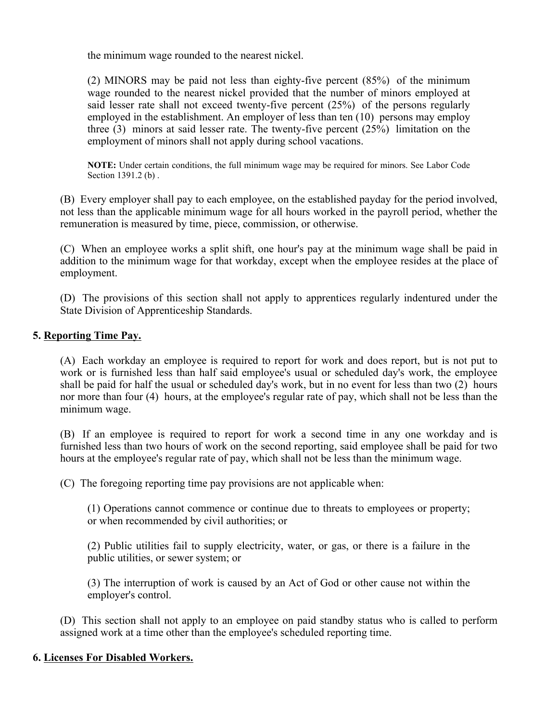the minimum wage rounded to the nearest nickel.

(2) MINORS may be paid not less than eighty-five percent (85%) of the minimum wage rounded to the nearest nickel provided that the number of minors employed at said lesser rate shall not exceed twenty-five percent (25%) of the persons regularly employed in the establishment. An employer of less than ten (10) persons may employ three (3) minors at said lesser rate. The twenty-five percent (25%) limitation on the employment of minors shall not apply during school vacations.

 **NOTE:** Under certain conditions, the full minimum wage may be required for minors. See Labor Code Section 1391.2 (b) .

(B) Every employer shall pay to each employee, on the established payday for the period involved, not less than the applicable minimum wage for all hours worked in the payroll period, whether the remuneration is measured by time, piece, commission, or otherwise.

(C) When an employee works a split shift, one hour's pay at the minimum wage shall be paid in addition to the minimum wage for that workday, except when the employee resides at the place of employment.

(D) The provisions of this section shall not apply to apprentices regularly indentured under the State Division of Apprenticeship Standards.

# **5. Reporting Time Pay.**

(A) Each workday an employee is required to report for work and does report, but is not put to work or is furnished less than half said employee's usual or scheduled day's work, the employee shall be paid for half the usual or scheduled day's work, but in no event for less than two (2) hours nor more than four (4) hours, at the employee's regular rate of pay, which shall not be less than the minimum wage.

(B) If an employee is required to report for work a second time in any one workday and is furnished less than two hours of work on the second reporting, said employee shall be paid for two hours at the employee's regular rate of pay, which shall not be less than the minimum wage.

(C) The foregoing reporting time pay provisions are not applicable when:

(1) Operations cannot commence or continue due to threats to employees or property; or when recommended by civil authorities; or

(2) Public utilities fail to supply electricity, water, or gas, or there is a failure in the public utilities, or sewer system; or

(3) The interruption of work is caused by an Act of God or other cause not within the employer's control.

(D) This section shall not apply to an employee on paid standby status who is called to perform assigned work at a time other than the employee's scheduled reporting time.

# **6. Licenses For Disabled Workers.**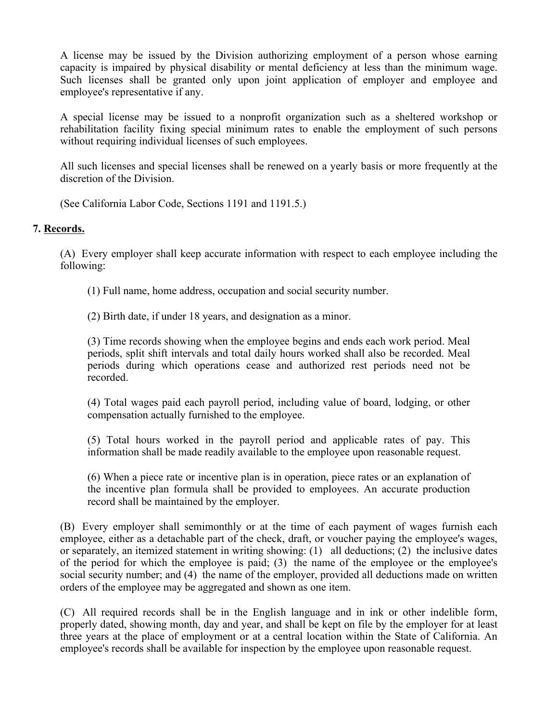A license may be issued by the Division authorizing employment of a person whose earning capacity is impaired by physical disability or mental deficiency at less than the minimum wage. Such licenses shall be granted only upon joint application of employer and employee and employee's representative if any.

A special license may be issued to a nonprofit organization such as a sheltered workshop or rehabilitation facility fixing special minimum rates to enable the employment of such persons without requiring individual licenses of such employees.

All such licenses and special licenses shall be renewed on a yearly basis or more frequently at the discretion of the Division.

(See California Labor Code, Sections 1191 and 1191.5.)

# **7. Records.**

(A) Every employer shall keep accurate information with respect to each employee including the following:

(1) Full name, home address, occupation and social security number.

(2) Birth date, if under 18 years, and designation as a minor.

(3) Time records showing when the employee begins and ends each work period. Meal periods, split shift intervals and total daily hours worked shall also be recorded. Meal periods during which operations cease and authorized rest periods need not be recorded.

(4) Total wages paid each payroll period, including value of board, lodging, or other compensation actually furnished to the employee.

(5) Total hours worked in the payroll period and applicable rates of pay. This information shall be made readily available to the employee upon reasonable request.

(6) When a piece rate or incentive plan is in operation, piece rates or an explanation of the incentive plan formula shall be provided to employees. An accurate production record shall be maintained by the employer.

(B) Every employer shall semimonthly or at the time of each payment of wages furnish each employee, either as a detachable part of the check, draft, or voucher paying the employee's wages, or separately, an itemized statement in writing showing: (1) all deductions; (2) the inclusive dates of the period for which the employee is paid; (3) the name of the employee or the employee's social security number; and (4) the name of the employer, provided all deductions made on written orders of the employee may be aggregated and shown as one item.

(C) All required records shall be in the English language and in ink or other indelible form, properly dated, showing month, day and year, and shall be kept on file by the employer for at least three years at the place of employment or at a central location within the State of California. An employee's records shall be available for inspection by the employee upon reasonable request.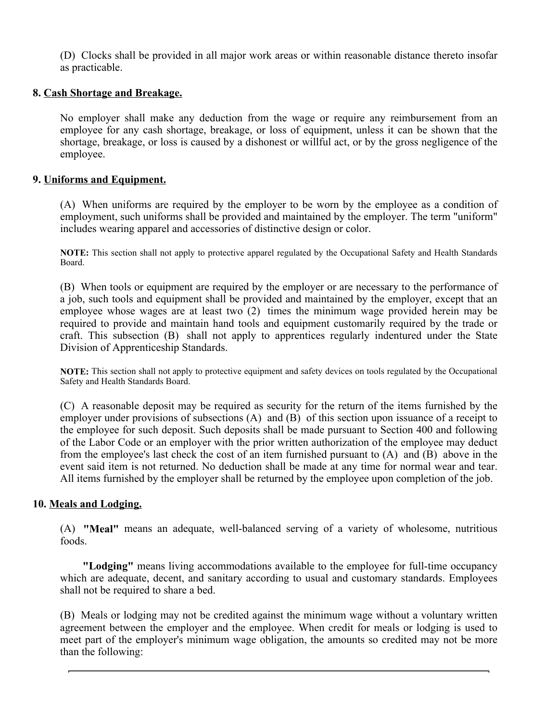(D) Clocks shall be provided in all major work areas or within reasonable distance thereto insofar as practicable.

## **8. Cash Shortage and Breakage.**

No employer shall make any deduction from the wage or require any reimbursement from an employee for any cash shortage, breakage, or loss of equipment, unless it can be shown that the shortage, breakage, or loss is caused by a dishonest or willful act, or by the gross negligence of the employee.

## **9. Uniforms and Equipment.**

(A) When uniforms are required by the employer to be worn by the employee as a condition of employment, such uniforms shall be provided and maintained by the employer. The term "uniform" includes wearing apparel and accessories of distinctive design or color.

 **NOTE:** This section shall not apply to protective apparel regulated by the Occupational Safety and Health Standards Board.

(B) When tools or equipment are required by the employer or are necessary to the performance of a job, such tools and equipment shall be provided and maintained by the employer, except that an employee whose wages are at least two (2) times the minimum wage provided herein may be required to provide and maintain hand tools and equipment customarily required by the trade or craft. This subsection (B) shall not apply to apprentices regularly indentured under the State Division of Apprenticeship Standards.

 **NOTE:** This section shall not apply to protective equipment and safety devices on tools regulated by the Occupational Safety and Health Standards Board.

(C) A reasonable deposit may be required as security for the return of the items furnished by the employer under provisions of subsections (A) and (B) of this section upon issuance of a receipt to the employee for such deposit. Such deposits shall be made pursuant to Section 400 and following of the Labor Code or an employer with the prior written authorization of the employee may deduct from the employee's last check the cost of an item furnished pursuant to (A) and (B) above in the event said item is not returned. No deduction shall be made at any time for normal wear and tear. All items furnished by the employer shall be returned by the employee upon completion of the job.

## **10. Meals and Lodging.**

(A) **"Meal"** means an adequate, well-balanced serving of a variety of wholesome, nutritious foods.

**"Lodging"** means living accommodations available to the employee for full-time occupancy which are adequate, decent, and sanitary according to usual and customary standards. Employees shall not be required to share a bed.

(B) Meals or lodging may not be credited against the minimum wage without a voluntary written agreement between the employer and the employee. When credit for meals or lodging is used to meet part of the employer's minimum wage obligation, the amounts so credited may not be more than the following: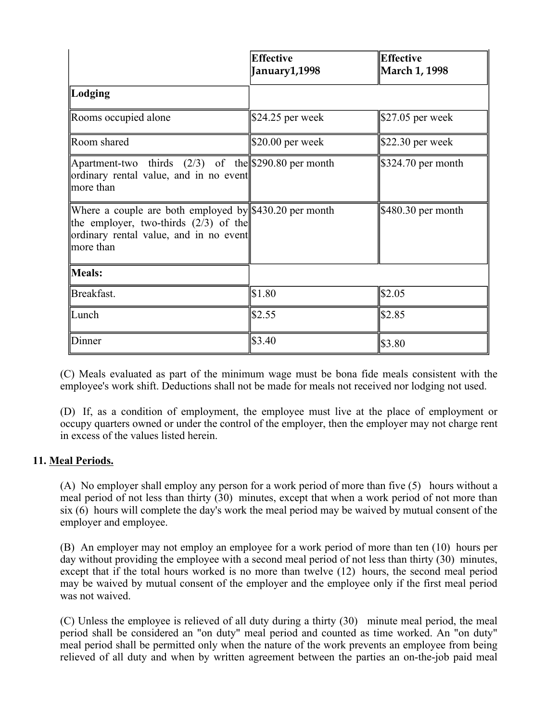|                                                                                                                                                          | <b>Effective</b><br>January1,1998 | <b>Effective</b><br>March 1, 1998 |
|----------------------------------------------------------------------------------------------------------------------------------------------------------|-----------------------------------|-----------------------------------|
| Lodging                                                                                                                                                  |                                   |                                   |
| Rooms occupied alone                                                                                                                                     | $$24.25$ per week                 | $$27.05$ per week                 |
| Room shared                                                                                                                                              | $$20.00$ per week                 | $$22.30$ per week                 |
| Apartment-two thirds $(2/3)$ of the \$290.80 per month<br>ordinary rental value, and in no event<br>Imore than                                           |                                   | $\frac{1}{324.70}$ per month      |
| Where a couple are both employed by \$430.20 per month<br>the employer, two-thirds $(2/3)$ of the<br>ordinary rental value, and in no event<br>more than |                                   | $$480.30$ per month               |
| Meals:                                                                                                                                                   |                                   |                                   |
| Breakfast.                                                                                                                                               | \$1.80                            | $\mathsf{I}\$2.05$                |
| Lunch                                                                                                                                                    | \$2.55                            | \$2.85                            |
| Dinner                                                                                                                                                   | \$3.40                            | \$3.80                            |

(C) Meals evaluated as part of the minimum wage must be bona fide meals consistent with the employee's work shift. Deductions shall not be made for meals not received nor lodging not used.

(D) If, as a condition of employment, the employee must live at the place of employment or occupy quarters owned or under the control of the employer, then the employer may not charge rent in excess of the values listed herein.

# **11. Meal Periods.**

(A) No employer shall employ any person for a work period of more than five (5) hours without a meal period of not less than thirty (30) minutes, except that when a work period of not more than six (6) hours will complete the day's work the meal period may be waived by mutual consent of the employer and employee.

(B) An employer may not employ an employee for a work period of more than ten (10) hours per day without providing the employee with a second meal period of not less than thirty (30) minutes, except that if the total hours worked is no more than twelve (12) hours, the second meal period may be waived by mutual consent of the employer and the employee only if the first meal period was not waived.

 (C) Unless the employee is relieved of all duty during a thirty (30) minute meal period, the meal period shall be considered an "on duty" meal period and counted as time worked. An "on duty" meal period shall be permitted only when the nature of the work prevents an employee from being relieved of all duty and when by written agreement between the parties an on-the-job paid meal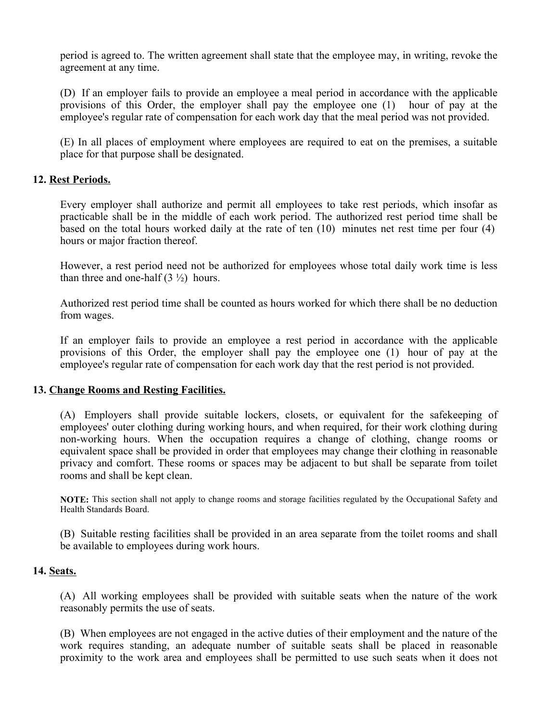period is agreed to. The written agreement shall state that the employee may, in writing, revoke the agreement at any time.

(D) If an employer fails to provide an employee a meal period in accordance with the applicable provisions of this Order, the employer shall pay the employee one (1) hour of pay at the employee's regular rate of compensation for each work day that the meal period was not provided.

(E) In all places of employment where employees are required to eat on the premises, a suitable place for that purpose shall be designated.

## **12. Rest Periods.**

Every employer shall authorize and permit all employees to take rest periods, which insofar as practicable shall be in the middle of each work period. The authorized rest period time shall be based on the total hours worked daily at the rate of ten (10) minutes net rest time per four (4) hours or major fraction thereof.

However, a rest period need not be authorized for employees whose total daily work time is less than three and one-half  $(3 \frac{1}{2})$  hours.

Authorized rest period time shall be counted as hours worked for which there shall be no deduction from wages.

If an employer fails to provide an employee a rest period in accordance with the applicable provisions of this Order, the employer shall pay the employee one (1) hour of pay at the employee's regular rate of compensation for each work day that the rest period is not provided.

## **13. Change Rooms and Resting Facilities.**

(A) Employers shall provide suitable lockers, closets, or equivalent for the safekeeping of employees' outer clothing during working hours, and when required, for their work clothing during non-working hours. When the occupation requires a change of clothing, change rooms or equivalent space shall be provided in order that employees may change their clothing in reasonable privacy and comfort. These rooms or spaces may be adjacent to but shall be separate from toilet rooms and shall be kept clean.

**NOTE:** This section shall not apply to change rooms and storage facilities regulated by the Occupational Safety and Health Standards Board.

(B) Suitable resting facilities shall be provided in an area separate from the toilet rooms and shall be available to employees during work hours.

## **14. Seats.**

(A) All working employees shall be provided with suitable seats when the nature of the work reasonably permits the use of seats.

(B) When employees are not engaged in the active duties of their employment and the nature of the work requires standing, an adequate number of suitable seats shall be placed in reasonable proximity to the work area and employees shall be permitted to use such seats when it does not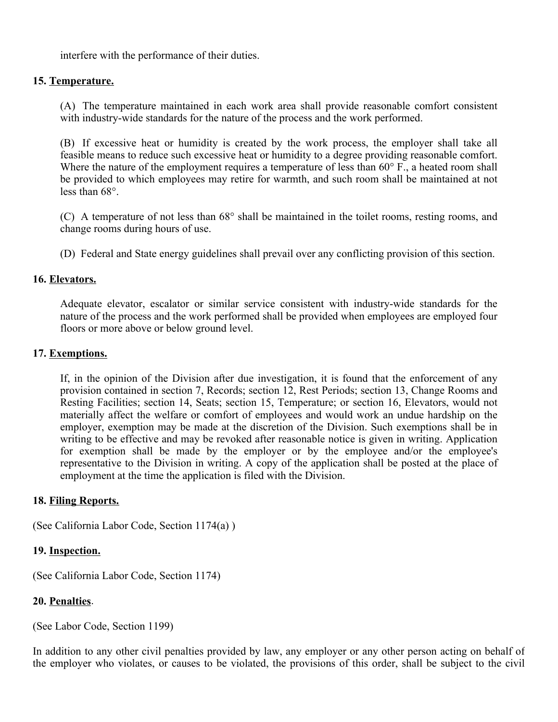interfere with the performance of their duties.

## **15. Temperature.**

(A) The temperature maintained in each work area shall provide reasonable comfort consistent with industry-wide standards for the nature of the process and the work performed.

(B) If excessive heat or humidity is created by the work process, the employer shall take all feasible means to reduce such excessive heat or humidity to a degree providing reasonable comfort. Where the nature of the employment requires a temperature of less than  $60^{\circ}$  F., a heated room shall be provided to which employees may retire for warmth, and such room shall be maintained at not less than 68°.

(C) A temperature of not less than 68° shall be maintained in the toilet rooms, resting rooms, and change rooms during hours of use.

(D) Federal and State energy guidelines shall prevail over any conflicting provision of this section.

## **16. Elevators.**

Adequate elevator, escalator or similar service consistent with industry-wide standards for the nature of the process and the work performed shall be provided when employees are employed four floors or more above or below ground level.

## **17. Exemptions.**

If, in the opinion of the Division after due investigation, it is found that the enforcement of any provision contained in section 7, Records; section 12, Rest Periods; section 13, Change Rooms and Resting Facilities; section 14, Seats; section 15, Temperature; or section 16, Elevators, would not materially affect the welfare or comfort of employees and would work an undue hardship on the employer, exemption may be made at the discretion of the Division. Such exemptions shall be in writing to be effective and may be revoked after reasonable notice is given in writing. Application for exemption shall be made by the employer or by the employee and/or the employee's representative to the Division in writing. A copy of the application shall be posted at the place of employment at the time the application is filed with the Division.

## **18. Filing Reports.**

(See California Labor Code, Section 1174(a) )

## **19. Inspection.**

(See California Labor Code, Section 1174)

## **20. Penalties**.

(See Labor Code, Section 1199)

In addition to any other civil penalties provided by law, any employer or any other person acting on behalf of the employer who violates, or causes to be violated, the provisions of this order, shall be subject to the civil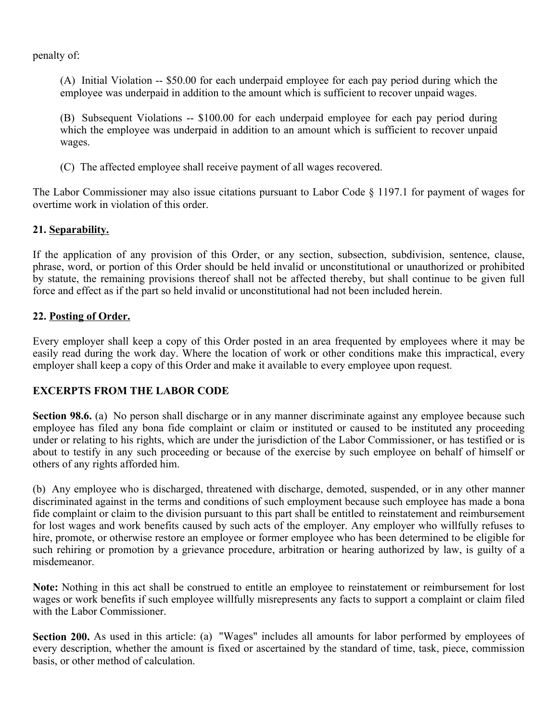penalty of:

(A) Initial Violation -- \$50.00 for each underpaid employee for each pay period during which the employee was underpaid in addition to the amount which is sufficient to recover unpaid wages.

(B) Subsequent Violations -- \$100.00 for each underpaid employee for each pay period during which the employee was underpaid in addition to an amount which is sufficient to recover unpaid wages.

(C) The affected employee shall receive payment of all wages recovered.

The Labor Commissioner may also issue citations pursuant to Labor Code § 1197.1 for payment of wages for overtime work in violation of this order.

# **21. Separability.**

If the application of any provision of this Order, or any section, subsection, subdivision, sentence, clause, phrase, word, or portion of this Order should be held invalid or unconstitutional or unauthorized or prohibited by statute, the remaining provisions thereof shall not be affected thereby, but shall continue to be given full force and effect as if the part so held invalid or unconstitutional had not been included herein.

## **22. Posting of Order.**

Every employer shall keep a copy of this Order posted in an area frequented by employees where it may be easily read during the work day. Where the location of work or other conditions make this impractical, every employer shall keep a copy of this Order and make it available to every employee upon request.

# **EXCERPTS FROM THE LABOR CODE**

**Section 98.6.** (a) No person shall discharge or in any manner discriminate against any employee because such employee has filed any bona fide complaint or claim or instituted or caused to be instituted any proceeding under or relating to his rights, which are under the jurisdiction of the Labor Commissioner, or has testified or is about to testify in any such proceeding or because of the exercise by such employee on behalf of himself or others of any rights afforded him.

(b) Any employee who is discharged, threatened with discharge, demoted, suspended, or in any other manner discriminated against in the terms and conditions of such employment because such employee has made a bona fide complaint or claim to the division pursuant to this part shall be entitled to reinstatement and reimbursement for lost wages and work benefits caused by such acts of the employer. Any employer who willfully refuses to hire, promote, or otherwise restore an employee or former employee who has been determined to be eligible for such rehiring or promotion by a grievance procedure, arbitration or hearing authorized by law, is guilty of a misdemeanor.

**Note:** Nothing in this act shall be construed to entitle an employee to reinstatement or reimbursement for lost wages or work benefits if such employee willfully misrepresents any facts to support a complaint or claim filed with the Labor Commissioner.

**Section 200.** As used in this article: (a) "Wages" includes all amounts for labor performed by employees of every description, whether the amount is fixed or ascertained by the standard of time, task, piece, commission basis, or other method of calculation.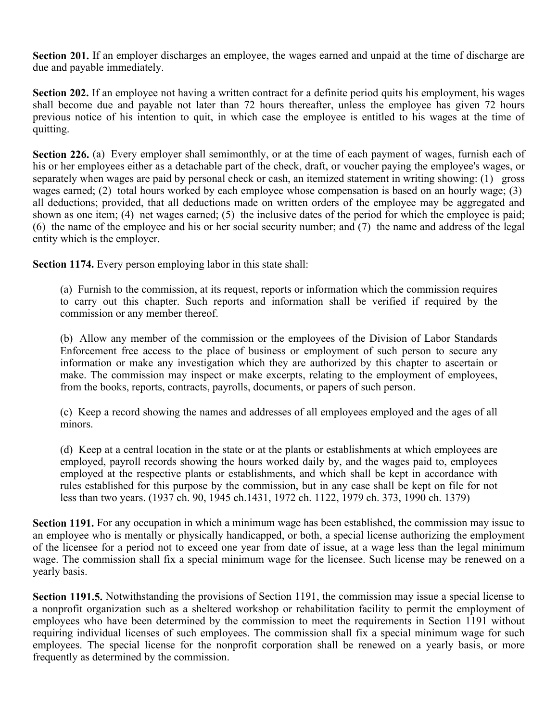**Section 201.** If an employer discharges an employee, the wages earned and unpaid at the time of discharge are due and payable immediately.

**Section 202.** If an employee not having a written contract for a definite period quits his employment, his wages shall become due and payable not later than 72 hours thereafter, unless the employee has given 72 hours previous notice of his intention to quit, in which case the employee is entitled to his wages at the time of quitting.

**Section 226.** (a) Every employer shall semimonthly, or at the time of each payment of wages, furnish each of his or her employees either as a detachable part of the check, draft, or voucher paying the employee's wages, or separately when wages are paid by personal check or cash, an itemized statement in writing showing: (1) gross wages earned; (2) total hours worked by each employee whose compensation is based on an hourly wage; (3) all deductions; provided, that all deductions made on written orders of the employee may be aggregated and shown as one item; (4) net wages earned; (5) the inclusive dates of the period for which the employee is paid; (6) the name of the employee and his or her social security number; and (7) the name and address of the legal entity which is the employer.

**Section 1174.** Every person employing labor in this state shall:

(a) Furnish to the commission, at its request, reports or information which the commission requires to carry out this chapter. Such reports and information shall be verified if required by the commission or any member thereof.

(b) Allow any member of the commission or the employees of the Division of Labor Standards Enforcement free access to the place of business or employment of such person to secure any information or make any investigation which they are authorized by this chapter to ascertain or make. The commission may inspect or make excerpts, relating to the employment of employees, from the books, reports, contracts, payrolls, documents, or papers of such person.

(c) Keep a record showing the names and addresses of all employees employed and the ages of all minors.

(d) Keep at a central location in the state or at the plants or establishments at which employees are employed, payroll records showing the hours worked daily by, and the wages paid to, employees employed at the respective plants or establishments, and which shall be kept in accordance with rules established for this purpose by the commission, but in any case shall be kept on file for not less than two years. (1937 ch. 90, 1945 ch.1431, 1972 ch. 1122, 1979 ch. 373, 1990 ch. 1379)

**Section 1191.** For any occupation in which a minimum wage has been established, the commission may issue to an employee who is mentally or physically handicapped, or both, a special license authorizing the employment of the licensee for a period not to exceed one year from date of issue, at a wage less than the legal minimum wage. The commission shall fix a special minimum wage for the licensee. Such license may be renewed on a yearly basis.

**Section 1191.5.** Notwithstanding the provisions of Section 1191, the commission may issue a special license to a nonprofit organization such as a sheltered workshop or rehabilitation facility to permit the employment of employees who have been determined by the commission to meet the requirements in Section 1191 without requiring individual licenses of such employees. The commission shall fix a special minimum wage for such employees. The special license for the nonprofit corporation shall be renewed on a yearly basis, or more frequently as determined by the commission.